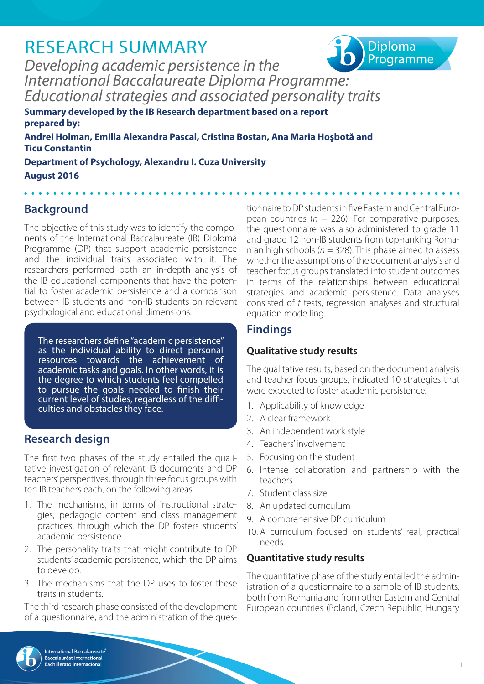# RESEARCH SUMMARY



*Developing academic persistence in the International Baccalaureate Diploma Programme: Educational strategies and associated personality traits*

**Summary developed by the IB Research department based on a report prepared by: Andrei Holman, Emilia Alexandra Pascal, Cristina Bostan, Ana Maria Hoşbotă and Ticu Constantin Department of Psychology, Alexandru I. Cuza University August 2016**

# **Background**

The objective of this study was to identify the components of the International Baccalaureate (IB) Diploma Programme (DP) that support academic persistence and the individual traits associated with it. The researchers performed both an in-depth analysis of the IB educational components that have the potential to foster academic persistence and a comparison between IB students and non-IB students on relevant psychological and educational dimensions.

The researchers define "academic persistence" as the individual ability to direct personal resources towards the achievement of academic tasks and goals. In other words, it is the degree to which students feel compelled to pursue the goals needed to finish their current level of studies, regardless of the diffi- culties and obstacles they face.

# **Research design**

The first two phases of the study entailed the qualitative investigation of relevant IB documents and DP teachers' perspectives, through three focus groups with ten IB teachers each, on the following areas.

- 1. The mechanisms, in terms of instructional strategies, pedagogic content and class management practices, through which the DP fosters students' academic persistence.
- 2. The personality traits that might contribute to DP students' academic persistence, which the DP aims to develop.
- 3. The mechanisms that the DP uses to foster these traits in students.

The third research phase consisted of the development of a questionnaire, and the administration of the questionnaire to DP students in five Eastern and Central European countries ( $n = 226$ ). For comparative purposes, the questionnaire was also administered to grade 11 and grade 12 non-IB students from top-ranking Romanian high schools ( $n = 328$ ). This phase aimed to assess whether the assumptions of the document analysis and teacher focus groups translated into student outcomes in terms of the relationships between educational strategies and academic persistence. Data analyses consisted of *t* tests, regression analyses and structural equation modelling.

# **Findings**

# **Qualitative study results**

The qualitative results, based on the document analysis and teacher focus groups, indicated 10 strategies that were expected to foster academic persistence.

- 1. Applicability of knowledge
- 2. A clear framework
- 3. An independent work style
- 4. Teachers' involvement
- 5. Focusing on the student
- 6. Intense collaboration and partnership with the teachers
- 7. Student class size
- 8. An updated curriculum
- 9. A comprehensive DP curriculum
- 10. A curriculum focused on students' real, practical needs

# **Quantitative study results**

The quantitative phase of the study entailed the administration of a questionnaire to a sample of IB students, both from Romania and from other Eastern and Central European countries (Poland, Czech Republic, Hungary

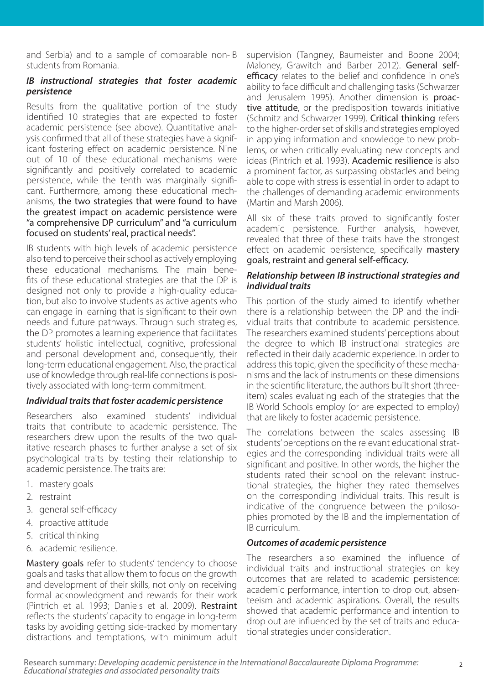and Serbia) and to a sample of comparable non-IB students from Romania.

#### *IB instructional strategies that foster academic persistence*

Results from the qualitative portion of the study identified 10 strategies that are expected to foster academic persistence (see above). Quantitative analysis confirmed that all of these strategies have a significant fostering effect on academic persistence. Nine out of 10 of these educational mechanisms were significantly and positively correlated to academic persistence, while the tenth was marginally significant. Furthermore, among these educational mechanisms, the two strategies that were found to have the greatest impact on academic persistence were "a comprehensive DP curriculum" and "a curriculum focused on students' real, practical needs".

IB students with high levels of academic persistence also tend to perceive their school as actively employing these educational mechanisms. The main benefits of these educational strategies are that the DP is designed not only to provide a high-quality education, but also to involve students as active agents who can engage in learning that is significant to their own needs and future pathways. Through such strategies, the DP promotes a learning experience that facilitates students' holistic intellectual, cognitive, professional and personal development and, consequently, their long-term educational engagement. Also, the practical use of knowledge through real-life connections is positively associated with long-term commitment.

#### *Individual traits that foster academic persistence*

Researchers also examined students' individual traits that contribute to academic persistence. The researchers drew upon the results of the two qualitative research phases to further analyse a set of six psychological traits by testing their relationship to academic persistence. The traits are:

- 1. mastery goals
- 2. restraint
- 3. general self-efficacy
- 4. proactive attitude
- 5. critical thinking
- 6. academic resilience.

Mastery goals refer to students' tendency to choose goals and tasks that allow them to focus on the growth and development of their skills, not only on receiving formal acknowledgment and rewards for their work (Pintrich et al. 1993; Daniels et al. 2009). Restraint reflects the students' capacity to engage in long-term tasks by avoiding getting side-tracked by momentary distractions and temptations, with minimum adult

supervision (Tangney, Baumeister and Boone 2004; Maloney, Grawitch and Barber 2012). General selfefficacy relates to the belief and confidence in one's ability to face difficult and challenging tasks (Schwarzer and Jerusalem 1995). Another dimension is proactive attitude, or the predisposition towards initiative (Schmitz and Schwarzer 1999). Critical thinking refers to the higher-order set of skills and strategies employed in applying information and knowledge to new problems, or when critically evaluating new concepts and ideas (Pintrich et al. 1993). Academic resilience is also a prominent factor, as surpassing obstacles and being able to cope with stress is essential in order to adapt to the challenges of demanding academic environments (Martin and Marsh 2006).

All six of these traits proved to significantly foster academic persistence. Further analysis, however, revealed that three of these traits have the strongest effect on academic persistence, specifically mastery goals, restraint and general self-efficacy.

#### *Relationship between IB instructional strategies and individual traits*

This portion of the study aimed to identify whether there is a relationship between the DP and the individual traits that contribute to academic persistence. The researchers examined students' perceptions about the degree to which IB instructional strategies are reflected in their daily academic experience. In order to address this topic, given the specificity of these mechanisms and the lack of instruments on these dimensions in the scientific literature, the authors built short (threeitem) scales evaluating each of the strategies that the IB World Schools employ (or are expected to employ) that are likely to foster academic persistence.

The correlations between the scales assessing IB students' perceptions on the relevant educational strategies and the corresponding individual traits were all significant and positive. In other words, the higher the students rated their school on the relevant instructional strategies, the higher they rated themselves on the corresponding individual traits. This result is indicative of the congruence between the philosophies promoted by the IB and the implementation of IB curriculum.

#### *Outcomes of academic persistence*

The researchers also examined the influence of individual traits and instructional strategies on key outcomes that are related to academic persistence: academic performance, intention to drop out, absenteeism and academic aspirations. Overall, the results showed that academic performance and intention to drop out are influenced by the set of traits and educational strategies under consideration.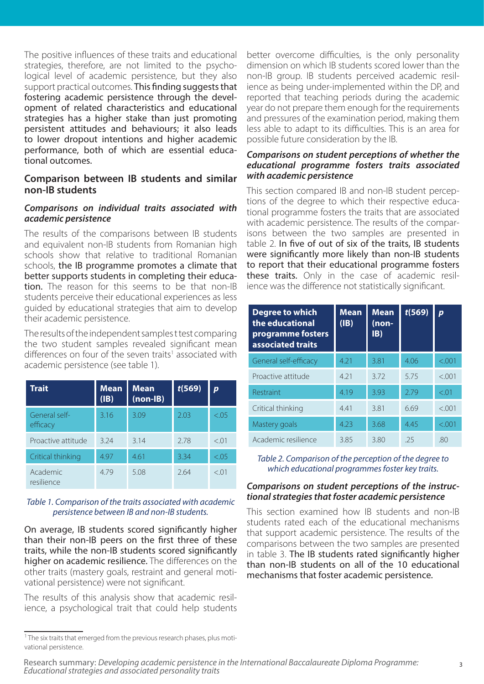The positive influences of these traits and educational strategies, therefore, are not limited to the psychological level of academic persistence, but they also support practical outcomes. This finding suggests that fostering academic persistence through the development of related characteristics and educational strategies has a higher stake than just promoting persistent attitudes and behaviours; it also leads to lower dropout intentions and higher academic performance, both of which are essential educational outcomes.

#### **Comparison between IB students and similar non-IB students**

#### *Comparisons on individual traits associated with academic persistence*

The results of the comparisons between IB students and equivalent non-IB students from Romanian high schools show that relative to traditional Romanian schools, the IB programme promotes a climate that better supports students in completing their education. The reason for this seems to be that non-IB students perceive their educational experiences as less guided by educational strategies that aim to develop their academic persistence.

The results of the independent samples t test comparing the two student samples revealed significant mean differences on four of the seven traits<sup>1</sup> associated with academic persistence (see table 1).

| <b>Trait</b>              | <b>Mean</b><br>(IB) | <b>Mean</b><br>$(non-IB)$ | t(569) | p      |
|---------------------------|---------------------|---------------------------|--------|--------|
| General self-<br>efficacy | 3.16                | 3.09                      | 2.03   | < 0.05 |
| Proactive attitude        | 3.24                | 3.14                      | 2.78   | < 0.01 |
| Critical thinking         | 4.97                | 4.61                      | 3.34   | < .05  |
| Academic<br>resilience    | 4.79                | 5.08                      | 2.64   | < 01   |

#### *Table 1. Comparison of the traits associated with academic persistence between IB and non-IB students.*

On average, IB students scored significantly higher than their non-IB peers on the first three of these traits, while the non-IB students scored significantly higher on academic resilience. The differences on the other traits (mastery goals, restraint and general motivational persistence) were not significant.

The results of this analysis show that academic resilience, a psychological trait that could help students better overcome difficulties, is the only personality dimension on which IB students scored lower than the non-IB group. IB students perceived academic resilience as being under-implemented within the DP, and reported that teaching periods during the academic year do not prepare them enough for the requirements and pressures of the examination period, making them less able to adapt to its difficulties. This is an area for possible future consideration by the IB.

#### *Comparisons on student perceptions of whether the educational programme fosters traits associated with academic persistence*

This section compared IB and non-IB student perceptions of the degree to which their respective educational programme fosters the traits that are associated with academic persistence. The results of the comparisons between the two samples are presented in table 2. In five of out of six of the traits, IB students were significantly more likely than non-IB students to report that their educational programme fosters these traits. Only in the case of academic resilience was the difference not statistically significant.

| <b>Degree to which</b><br>the educational<br>programme fosters<br>associated traits | <b>Mean</b><br>(IB) | <b>Mean</b><br>(non-<br>IB) | t(569) | D      |
|-------------------------------------------------------------------------------------|---------------------|-----------------------------|--------|--------|
| General self-efficacy                                                               | 4.21                | 3.81                        | 4.06   | < .001 |
| Proactive attitude                                                                  | 4.21                | 3.72                        | 5.75   | < 0.01 |
| Restraint                                                                           | 4.19                | 3.93                        | 2.79   | < 0.01 |
| Critical thinking                                                                   | 4.41                | 3.81                        | 6.69   | < 0.01 |
| Mastery goals                                                                       | 4.23                | 3.68                        | 4.45   | < 0.01 |
| Academic resilience                                                                 | 3.85                | 3.80                        | 25     | .80    |

*Table 2. Comparison of the perception of the degree to which educational programmes foster key traits.*

#### *Comparisons on student perceptions of the instructional strategies that foster academic persistence*

This section examined how IB students and non-IB students rated each of the educational mechanisms that support academic persistence. The results of the comparisons between the two samples are presented in table 3. The IB students rated significantly higher than non-IB students on all of the 10 educational mechanisms that foster academic persistence.

<sup>&</sup>lt;sup>1</sup> The six traits that emerged from the previous research phases, plus motivational persistence.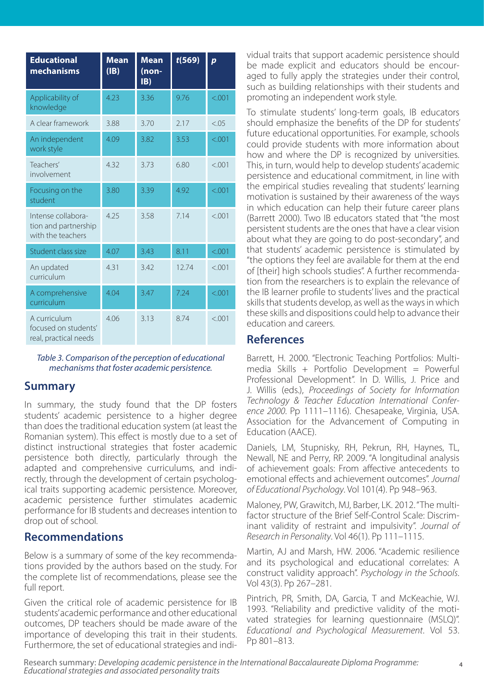| <b>Educational</b><br>mechanisms                                | <b>Mean</b><br>(IB) | <b>Mean</b><br>(non-<br>IB) | t(569) | $\boldsymbol{p}$ |
|-----------------------------------------------------------------|---------------------|-----------------------------|--------|------------------|
| Applicability of<br>knowledge                                   | 4.23                | 3.36                        | 9.76   | < .001           |
| A clear framework                                               | 3.88                | 3.70                        | 2.17   | < .05            |
| An independent<br>work style                                    | 4.09                | 3.82                        | 3.53   | < .001           |
| Teachers'<br>involvement                                        | 4.32                | 3.73                        | 6.80   | < 0.01           |
| Focusing on the<br>student                                      | 3.80                | 3.39                        | 4.92   | < .001           |
| Intense collabora-<br>tion and partnership<br>with the teachers | 4.25                | 3.58                        | 7.14   | < 0.01           |
| Student class size                                              | 4.07                | 3.43                        | 8.11   | < .001           |
| An updated<br>curriculum                                        | 4.31                | 3.42                        | 12.74  | < .001           |
| A comprehensive<br>curriculum                                   | 4.04                | 3.47                        | 7.24   | < .001           |
| A curriculum<br>focused on students'<br>real, practical needs   | 4.06                | 3.13                        | 8.74   | < 0.01           |

*Table 3. Comparison of the perception of educational mechanisms that foster academic persistence.*

### **Summary**

In summary, the study found that the DP fosters students' academic persistence to a higher degree than does the traditional education system (at least the Romanian system). This effect is mostly due to a set of distinct instructional strategies that foster academic persistence both directly, particularly through the adapted and comprehensive curriculums, and indirectly, through the development of certain psychological traits supporting academic persistence. Moreover, academic persistence further stimulates academic performance for IB students and decreases intention to drop out of school.

# **Recommendations**

Below is a summary of some of the key recommendations provided by the authors based on the study. For the complete list of recommendations, please see the full report.

Given the critical role of academic persistence for IB students' academic performance and other educational outcomes, DP teachers should be made aware of the importance of developing this trait in their students. Furthermore, the set of educational strategies and individual traits that support academic persistence should be made explicit and educators should be encouraged to fully apply the strategies under their control, such as building relationships with their students and promoting an independent work style.

To stimulate students' long-term goals, IB educators should emphasize the benefits of the DP for students' future educational opportunities. For example, schools could provide students with more information about how and where the DP is recognized by universities. This, in turn, would help to develop students' academic persistence and educational commitment, in line with the empirical studies revealing that students' learning motivation is sustained by their awareness of the ways in which education can help their future career plans (Barrett 2000). Two IB educators stated that "the most persistent students are the ones that have a clear vision about what they are going to do post-secondary", and that students' academic persistence is stimulated by "the options they feel are available for them at the end of [their] high schools studies". A further recommendation from the researchers is to explain the relevance of the IB learner profile to students' lives and the practical skills that students develop, as well as the ways in which these skills and dispositions could help to advance their education and careers.

### **References**

Barrett, H. 2000. "Electronic Teaching Portfolios: Multimedia Skills + Portfolio Development = Powerful Professional Development". In D. Willis, J. Price and J. Willis (eds.), *Proceedings of Society for Information Technology & Teacher Education International Conference 2000*. Pp 1111–1116). Chesapeake, Virginia, USA. Association for the Advancement of Computing in Education (AACE).

Daniels, LM, Stupnisky, RH, Pekrun, RH, Haynes, TL, Newall, NE and Perry, RP. 2009. "A longitudinal analysis of achievement goals: From affective antecedents to emotional effects and achievement outcomes". *Journal of Educational Psychology*. Vol 101(4). Pp 948–963.

Maloney, PW, Grawitch, MJ, Barber, LK. 2012. "The multifactor structure of the Brief Self-Control Scale: Discriminant validity of restraint and impulsivity". *Journal of Research in Personality*. Vol 46(1). Pp 111–1115.

Martin, AJ and Marsh, HW. 2006. "Academic resilience and its psychological and educational correlates: A construct validity approach". *Psychology in the Schools*. Vol 43(3). Pp 267–281.

Pintrich, PR, Smith, DA, Garcia, T and McKeachie, WJ. 1993. "Reliability and predictive validity of the motivated strategies for learning questionnaire (MSLQ)". *Educational and Psychological Measurement*. Vol 53. Pp 801–813.